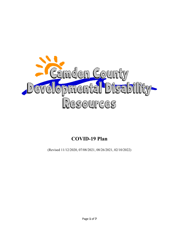

# **COVID-19 Plan**

(Revised 11/12/2020, 07/08/2021, 08/26/2021, 02/10/2022)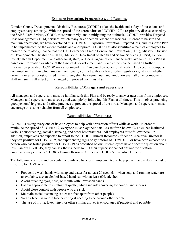#### **Exposure Prevention, Preparedness, and Response**

Camden County Developmental Disability Resources (CCDDR) takes the health and safety of our clients and employees very seriously. With the spread of the coronavirus or "COVID-19," a respiratory disease caused by the SARS-CoV-2 virus, CCDDR must remain vigilant in mitigating the outbreak. CCDDR provides Targeted Case Management (TCM) services, which many have deemed "essential" services. In order to be safe and maintain operations, we have developed this COVID-19 Exposure Prevention, Preparedness, and Response Plan to be implemented, to the extent feasible and appropriate. CCDDR has also identified a team of employees to monitor the related guidance that the U.S. Center for Disease Control and Prevention (CDC), Missouri Division of Developmental Disabilities (DDD), Missouri Department of Health and Senior Services (DHSS), Camden County Health Department, and other local, state, or federal agencies continue to make available. This Plan is based on information available at the time of its development and is subject to change based on further information provided. CCDDR may also amend this Plan based on operational needs. Any specific component contained in this Plan which may unintentionally conflict with any law or other regulatory guidance, whether currently in effect or established in the future, shall be deemed null and void; however, all other components shall remain in full effect until changed or removed from this Plan.

#### **Responsibilities of Managers and Supervisors**

All managers and supervisors must be familiar with this Plan and be ready to answer questions from employees. Managers and supervisors must set a good example by following this Plan at all times. This involves practicing good personal hygiene and safety practices to prevent the spread of the virus. Managers and supervisors must encourage this same behavior from all employees.

#### **Responsibilities of Employees**

CCDDR is asking every one of its employees to help with prevention efforts while at work. In order to minimize the spread of COVID-19, everyone must play their part. As set forth below, CCDDR has instituted various housekeeping, social distancing, and other best practices. All employees must follow these. In addition, employees are expected to report to the CCDDR Human Resource Officer or Executive Director if they test positive for COVID-19, are experiencing signs or symptoms of COVID-19, or have been exposed to a person who has tested positive for COVID-19 as described below. If employees have a specific question about this Plan or COVID-19, they can ask their supervisor. If their supervisor cannot answer the question, employees may contact CCDDR's Human Resource Officer or CCDDR's Executive Director.

The following controls and preventative guidance have been implemented to help prevent and reduce the risk of exposure to COVID-19:

- Frequently wash hands with soap and water for at least 20 seconds when soap and running water are unavailable, use an alcohol-based hand rub with at least 60% alcohol.
- Avoid touching eyes, nose, or mouth with unwashed hands
- Follow appropriate respiratory etiquette, which includes covering for coughs and sneezes
- Avoid close contact with people who are sick
- Maintain social distancing (at least 6 feet apart from other people)
- Wear a facemask/cloth face covering if needing to be around other people
- The use of nitrile, latex, vinyl, or other similar gloves is encouraged if practical and possible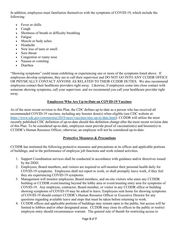In addition, employees must familiarize themselves with the symptoms of COVID-19, which include the following:

- Fever or chills
- Cough
- Shortness of breath or difficulty breathing
- **Fatigue**
- Muscle or body aches
- Headache
- New loss of taste or smell
- Sore throat
- Congestion or runny nose
- Nausea or vomiting
- Diarrhea

"Showing symptoms" could mean exhibiting or experiencing one or more of the symptoms listed above. If employees develop symptoms, they are to call their supervisor and DO NOT GO INTO ANY CCDDR OFFICE OR PHYSICALLY CONTACT ANYONE AS RELATED TO THEIR CCDDR DUTIES. We also recommend employees contact their healthcare providers right away. Likewise, if employees come into close contact with someone showing symptoms, call your supervisor, and we recommend you call your healthcare provider right away.

# **Employees Who Are Up-to-Date on COVID-19 Vaccines**

As of the most recent revision to this Plan, the CDC defines up-to-date as a person who has received all recommended COVID-19 vaccines, including any booster dose(s) when eligible (see CDC website at: [https://www.cdc.gov/coronavirus/2019-ncov/vaccines/stay-up-to-date.html\)](https://www.cdc.gov/coronavirus/2019-ncov/vaccines/stay-up-to-date.html). CCDDR will utilize the most recently published CDC definition of up-to-date should this definition change after the most recent revision date of this Plan. To be considered up-to-date, employees must provide proof of vaccination(s) and booster(s) to CCDDR's Human Resource Officer; otherwise, an employee will not be considered up-to-date.

# **Protective Measures & Precautions**

CCDDR has instituted the following protective measures and precautions at its offices and applicable portions of buildings, and in the performance of employee job functions and work-related activities.

- 1. Support Coordination services shall be conducted in accordance with guidance and/or directives issued by the DDD.
- 2. Employees, Board members, and visitors are required to self-monitor their personal health daily for COVID-19 symptoms. Employees shall not report to work, or shall promptly leave work, if they feel they are experiencing COVID-19 symptoms.
- 3. Management will monitor employees, Board members, and on-site visitors who enter any CCDDR building or CCDDR event/meeting beyond the lobby area or event/meeting entry area for symptoms of COVID-19. Any employee, contractor, Board member, or visitor in any CCDDR office or building showing symptoms of COVID-19 may be asked to leave. Employees sent home for showing symptoms of COVID-19 should contact CCDDR's Human Resource Officer or Executive Director for any questions regarding available leave and steps that must be taken before returning to work.
- 4. CCDDR offices and applicable portions of buildings may remain open to the public, but access will be limited to lobbies and/or other designated areas. CCDDR may close its offices to the public or restrict employee entry should circumstances warrant. The general rule of thumb for restricting access to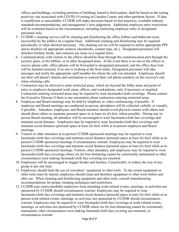offices and buildings, excluding portions of buildings leased to third parties, shall be based on the testing positivity rate associated with COVID-19 testing in Camden County and other pertinent factors. If data is insufficient or unavailable, CCDDR will make decisions based on best practices, available industry standards/recommendations, and management's best judgement. Additional employee entry restrictions will be evaluated based on the circumstances, including restricting employee entry to designated personnel only.

- 5. CCDDR's cleaning service will be cleaning and disinfecting the office lobbies and bathroom areas (accessible by the public) on a regular basis. Additional cleaning and disinfecting may be required periodically or when deemed necessary. The cleaning service will be required to utilize appropriate PPE and to disinfect all appropriate surfaces (doorknobs, counter tops, etc.). Designated personnel will disinfect kitchen, break, and common use areas on a regular basis.
- 6. Communications with visitors to the offices should be done through the communication port through the security glass, in the lobbies, or in other designated areas. In the event there is no one in the offices to receive phone calls, office phones will be forwarded to designated personnel, and the office door lock will be initiated remotely if no one is working at the front desks. Designated personnel will take messages and notify the appropriate staff member for whom the call was intended. Employees should use their cell phone's feature and mechanism to conceal their cell phone numbers on the receiver's end when returning calls.
- 7. Contractors may be allowed to enter restricted areas, which are beyond the lobby areas and point of entry to employee designated work areas, offices, and workstations, only if necessary or required. Contractors entering restricted areas may be required to wear facemasks/cloth coverings. Please contact the Executive Director if there is any uncertainty about contractors entering restricted areas.
- 8. Employee and Board meetings may be held by telephone or video conferencing, if possible. If employee and Board meetings are conducted in-person, attendance will be collected verbally or visually, if possible. Attendees, employees, and Board members should avoid physical contact with others and should direct others to maintain personal space to at least six (6) feet, where possible. During any inperson Board meeting, all attendees will be encouraged to wear facemasks/cloth face coverings and maintain social distance. Employees may be required to wear facemasks/cloth face coverings and maintain social distance (personal space at least (6) feet) while at in-person employee and Board meetings.
- 9. Visitors or other attendees at in-person CCDDR-sponsored meetings may be required to wear facemasks/cloth face coverings and maintain social distance (personal space at least (6) feet) while at inperson CCDDR-sponsored meetings if circumstances warrant. Employees may be required to wear facemasks/cloth face coverings and maintain social distance (personal space at least (6) feet) while at inperson CCDDR-sponsored meetings. Visitors, other attendees, and employees may be required to wear facemasks/cloth face coverings where six (6) foot distancing cannot be consistently maintained or other circumstances exist making facemask/cloth face covering use essential.
- 10. Employees will be encouraged to stagger breaks and lunches, if practicable, to reduce the size of any group at any one time.
- 11. Employees should limit the use of coworkers' equipment or other tools. To the extent equipment or other tools must be shared, employees should clean and disinfect equipment or other tools before and after use. When cleaning and disinfecting equipment and other tools, consult manufacturing recommendations for proper cleaning techniques and restrictions.
- 12. CCDDR may restrict/prohibit employees from attending work-related events, meetings, or activities not sponsored by CCDDR should circumstances warrant. Employees may be required to wear facemasks/cloth face coverings and maintain social distance (personal space at least (6) feet) while at inperson work-related events, meetings, or activities not sponsored by CCDDR should circumstances warrant. Employees may be required to wear facemasks/cloth face coverings at work-related events, meetings, or activities not sponsored by CCDDR where six (6) foot distancing cannot be consistently maintained, other circumstances exist making facemask/cloth face covering use essential, or circumstances warrant.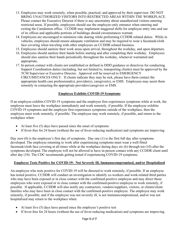- 13. Employees may work remotely, when possible, practical, and approved by their supervisor. DO NOT BRING UNAUTHORIZED VISITORS INTO RESTRICTED AREAS WITHIN THE WORKPLACE. Please contact the Executive Director if there is any uncertainty about unauthorized visitors entering restricted areas. If possible, employees should use the employee-only entrance when entering and exiting the Camdenton office. CCDDR may implement staggered shifts for employee entry into and use of its offices and applicable portions of buildings should circumstances warrant.
- 14. Employees are encouraged to minimize ride sharing while performing CCDDR-related duties. While in vehicles, employees should ensure adequate ventilation and may be required to wear a facemask/cloth face covering when traveling with other employees on CCDDR-related business.
- 15. Employees should sanitize their work areas upon arrival, throughout the workday, and upon departure.
- 16. Employees should sanitize their hands before starting and after completing their workday. Employees should also sanitize their hands periodically throughout the workday, whenever warranted and appropriate.
- 17. In-person contact with clients not established or defined in DDD guidance or directives for conducting Support Coordination duties (including, but not limited to, transporting clients) must be approved by the TCM Supervisor or Executive Director. Approval will be reserved to EMERGENCY CIRCUMSTANCES ONLY. If clients indicate they may be sick, please have them contact the appropriate health care professional(s), provider(s), caregiver(s), or EMS. Employees may assist them remotely in contacting the appropriate providers/caregivers or EMS.

# **Employee Exhibits COVID-19 Symptoms**

If an employee exhibits COVID-19 symptoms and the employee first experiences symptoms while at work, the employee must leave the workplace immediately and work remotely, if possible. If the employee exhibits COVID-19 symptoms and the employee first experiences symptoms outside of the workplace, then the employee must work remotely, if possible. The employee may work remotely, if possible, and return to the workplace when:

- At least five (5) days have passed since the onset of symptoms
- If fever-free for 24 hours (without the use of fever-reducing medication) and symptoms are improving

Day zero (0) is the employee's first day of symptoms. Day one (1) is the first full day after symptoms developed. The employee returning to work after experiencing symptoms must wear a well-fitted facemask/cloth face covering at all times while at the workplace during days six (6) through ten (10) after the symptoms developed. The employee will not be allowed to have in-person contact with any CCDDR client until after day (10). The CDC recommends getting tested if experiencing COVID-19 symptoms.

# **Employee Tests Positive for COVID-19: Not Severely Ill, Immunocompromised, and/or Hospitalized**

An employee who tests positive for COVID-19 will be directed to work remotely, if possible. If an employee has tested positive, CCDDR will conduct an investigation to identify co-workers and work-related third parties who may have been exposed or in close contact with the confirmed-positive employee and may direct those employees who were exposed or in close contact with the confirmed-positive employee to work remotely, if possible. If applicable, CCDDR will also notify any contractors, vendors/suppliers, visitors, or clients/client families who may have been in close contact with the confirmed-positive employee. The employee may work remotely, if possible; and if the employee was not severely ill, is not immunocompromised, and/or was not hospitalized may return to the workplace when:

- At least five (5) days have passed since the employee's positive test
- If fever-free for 24 hours (without the use of fever-reducing medication) and symptoms are improving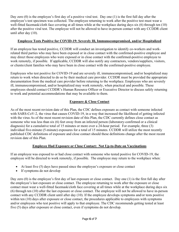Day zero (0) is the employee's first day of a positive viral test. Day one (1) is the first full day after the employee's test specimen was collected. The employee returning to work after the positive test must wear a well-fitted facemask/cloth face covering at all times while at the workplace during days six (6) through ten (10) after the positive viral test. The employee will not be allowed to have in-person contact with any CCDDR client until after day (10).

#### **Employee Tests Positive for COVID-19: Severely Ill, Immunocompromised, and/or Hospitalized**

If an employee has tested positive, CCDDR will conduct an investigation to identify co-workers and workrelated third parties who may have been exposed or in close contact with the confirmed-positive employee and may direct those employees who were exposed or in close contact with the confirmed-positive employee to work remotely, if possible. If applicable, CCDDR will also notify any contractors, vendors/suppliers, visitors, or clients/client families who may have been in close contact with the confirmed-positive employee.

Employees who test positive for COVID-19 and are severely ill, immunocompromised, and/or hospitalized may return to work when directed to do so by their medical care provider. CCDDR must be provided the appropriate documentation from the medical care provider before returning to the workplace. Employees who are severely ill, immunocompromised, and/or hospitalized may work remotely, when practical and possible. These employees should contact CCDDR's Human Resource Officer or Executive Director to discuss safely returning to work and potential accommodations that may be available to them.

# **Exposure & Close Contact**

As of the most recent revision date of this Plan, the CDC defines exposure as contact with someone infected with SARS-CoV-2, the virus that causes COVID-19, in a way that increased the likelihood of getting infected with the virus As of the most recent revision date of this Plan, the CDC currently defines close contact as someone who was less than six (6) feet away from an infected person (laboratory-confirmed or a clinical diagnosis) for a cumulative total of 15 minutes or more over a 24-hour period. For example, three (3) individual five-minute (5-minute) exposures for a total of 15 minutes. CCDDR will utilize the most recently published CDC definitions of exposure and close contact should these definitions change after the most recent revision date of this Plan.

# **Employee Had Exposure or Close Contact: Not Up-to-Date on Vaccinations**

If an employee was exposed to or had close contact with someone who tested positive for COVID-19, the employee will be directed to work remotely, if possible. The employee may return to the workplace when:

- At least five (5) days have passed since the employee's exposure or close contact
- If symptoms do not develop

Day zero (0) is the employee's first day of last exposure or close contact. Day one (1) is the first full day after the employee's last exposure or close contact. The employee returning to work after the exposure or close contact must wear a well-fitted facemask/cloth face covering at all times while at the workplace during days six (6) through ten (10) after the last exposure or close contact. The employee will not be allowed to have in-person contact with any CCDDR client until after day (10). If the employee develops symptoms and/or tests positive within ten (10) days after exposure or close contact, the procedures applicable to employees with symptoms and/or employees who test positive will apply to that employee. The CDC recommends getting tested at least five (5) days after exposure or close contact, even if symptoms do not develop.